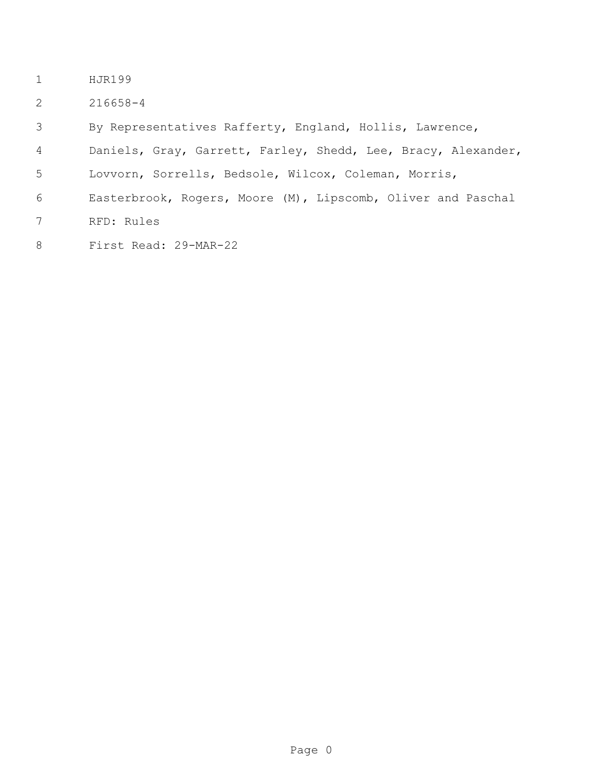- HJR199
- 216658-4

By Representatives Rafferty, England, Hollis, Lawrence,

- Daniels, Gray, Garrett, Farley, Shedd, Lee, Bracy, Alexander,
- Lovvorn, Sorrells, Bedsole, Wilcox, Coleman, Morris,
- Easterbrook, Rogers, Moore (M), Lipscomb, Oliver and Paschal
- RFD: Rules
- First Read: 29-MAR-22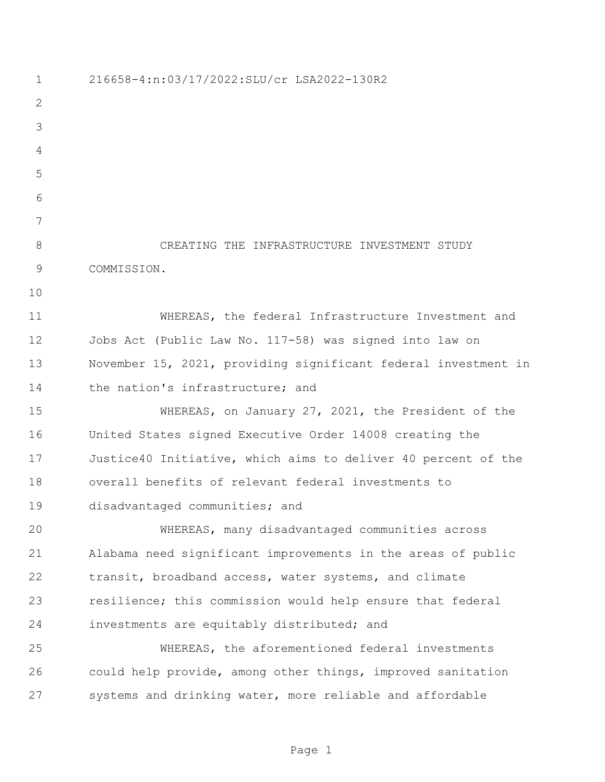216658-4:n:03/17/2022:SLU/cr LSA2022-130R2 CREATING THE INFRASTRUCTURE INVESTMENT STUDY COMMISSION. WHEREAS, the federal Infrastructure Investment and Jobs Act (Public Law No. 117-58) was signed into law on November 15, 2021, providing significant federal investment in 14 the nation's infrastructure; and WHEREAS, on January 27, 2021, the President of the United States signed Executive Order 14008 creating the Justice40 Initiative, which aims to deliver 40 percent of the overall benefits of relevant federal investments to disadvantaged communities; and WHEREAS, many disadvantaged communities across Alabama need significant improvements in the areas of public transit, broadband access, water systems, and climate resilience; this commission would help ensure that federal investments are equitably distributed; and WHEREAS, the aforementioned federal investments could help provide, among other things, improved sanitation systems and drinking water, more reliable and affordable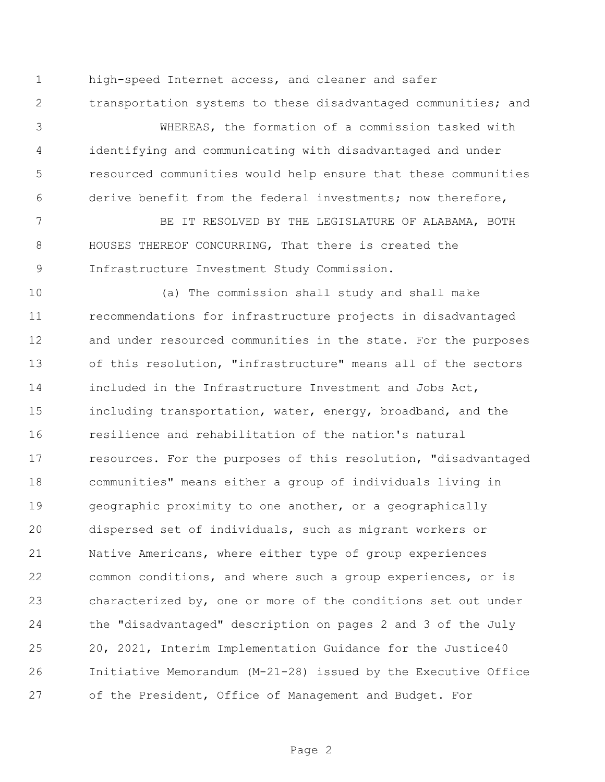high-speed Internet access, and cleaner and safer transportation systems to these disadvantaged communities; and

 WHEREAS, the formation of a commission tasked with identifying and communicating with disadvantaged and under resourced communities would help ensure that these communities derive benefit from the federal investments; now therefore,

 BE IT RESOLVED BY THE LEGISLATURE OF ALABAMA, BOTH HOUSES THEREOF CONCURRING, That there is created the Infrastructure Investment Study Commission.

 (a) The commission shall study and shall make recommendations for infrastructure projects in disadvantaged and under resourced communities in the state. For the purposes of this resolution, "infrastructure" means all of the sectors included in the Infrastructure Investment and Jobs Act, including transportation, water, energy, broadband, and the resilience and rehabilitation of the nation's natural resources. For the purposes of this resolution, "disadvantaged communities" means either a group of individuals living in geographic proximity to one another, or a geographically dispersed set of individuals, such as migrant workers or Native Americans, where either type of group experiences common conditions, and where such a group experiences, or is characterized by, one or more of the conditions set out under the "disadvantaged" description on pages 2 and 3 of the July 20, 2021, Interim Implementation Guidance for the Justice40 Initiative Memorandum (M-21-28) issued by the Executive Office of the President, Office of Management and Budget. For

Page 2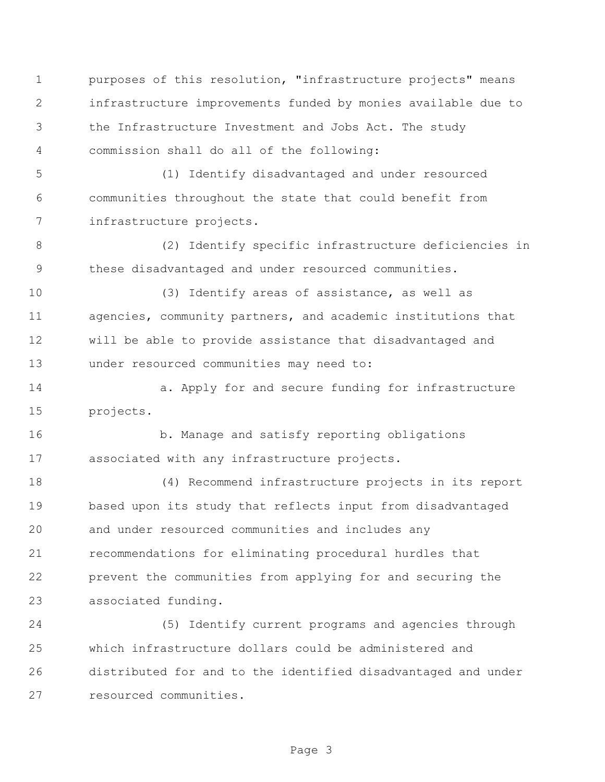purposes of this resolution, "infrastructure projects" means infrastructure improvements funded by monies available due to the Infrastructure Investment and Jobs Act. The study commission shall do all of the following:

 (1) Identify disadvantaged and under resourced communities throughout the state that could benefit from infrastructure projects.

 (2) Identify specific infrastructure deficiencies in these disadvantaged and under resourced communities.

 (3) Identify areas of assistance, as well as agencies, community partners, and academic institutions that will be able to provide assistance that disadvantaged and under resourced communities may need to:

14 a. Apply for and secure funding for infrastructure projects.

16 b. Manage and satisfy reporting obligations associated with any infrastructure projects.

 (4) Recommend infrastructure projects in its report based upon its study that reflects input from disadvantaged and under resourced communities and includes any recommendations for eliminating procedural hurdles that prevent the communities from applying for and securing the associated funding.

 (5) Identify current programs and agencies through which infrastructure dollars could be administered and distributed for and to the identified disadvantaged and under resourced communities.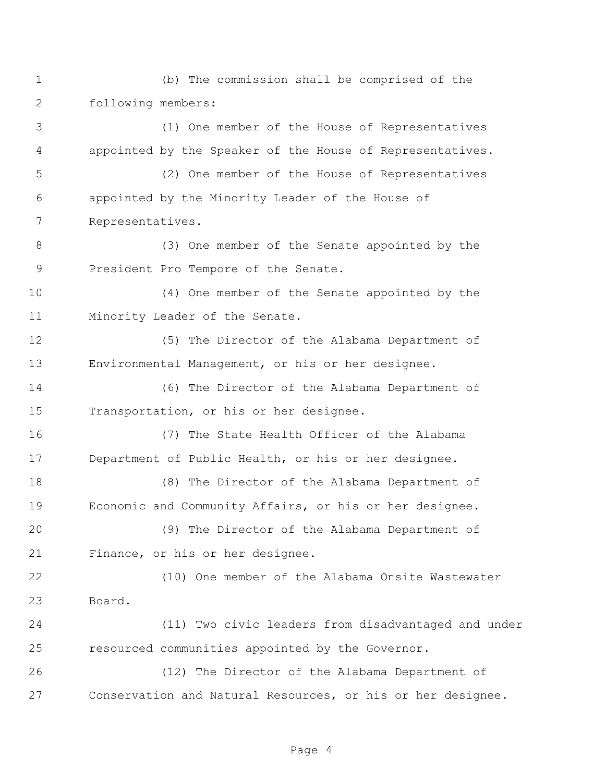(b) The commission shall be comprised of the following members:

 (1) One member of the House of Representatives appointed by the Speaker of the House of Representatives.

 (2) One member of the House of Representatives appointed by the Minority Leader of the House of Representatives.

 (3) One member of the Senate appointed by the President Pro Tempore of the Senate.

 (4) One member of the Senate appointed by the Minority Leader of the Senate.

 (5) The Director of the Alabama Department of Environmental Management, or his or her designee.

 (6) The Director of the Alabama Department of Transportation, or his or her designee.

 (7) The State Health Officer of the Alabama Department of Public Health, or his or her designee.

 (8) The Director of the Alabama Department of Economic and Community Affairs, or his or her designee.

 (9) The Director of the Alabama Department of Finance, or his or her designee.

 (10) One member of the Alabama Onsite Wastewater Board.

 (11) Two civic leaders from disadvantaged and under resourced communities appointed by the Governor.

 (12) The Director of the Alabama Department of Conservation and Natural Resources, or his or her designee.